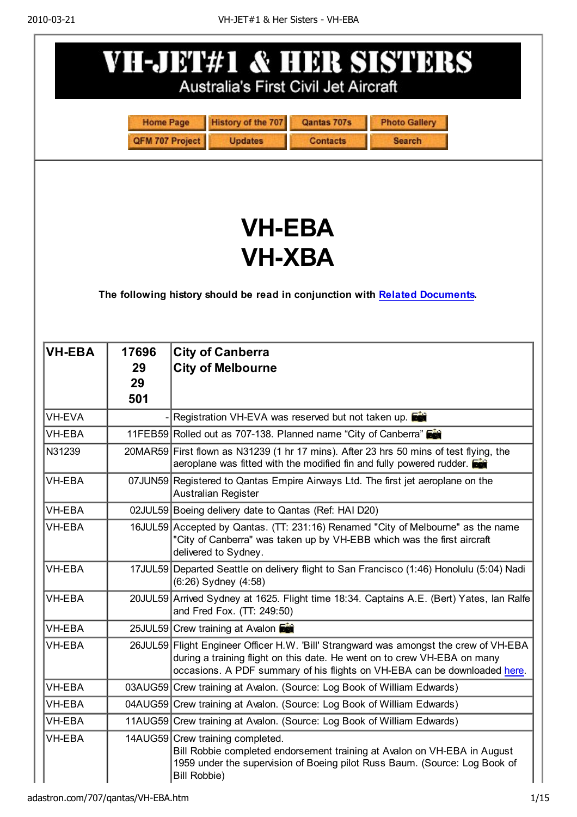|                                                                                                               |                                     | VH-JET#1 & HER SISTERS<br>Australia's First Civil Jet Aircraft                                                                                                                                                                                 |  |
|---------------------------------------------------------------------------------------------------------------|-------------------------------------|------------------------------------------------------------------------------------------------------------------------------------------------------------------------------------------------------------------------------------------------|--|
|                                                                                                               | <b>Home Page</b><br>QFM 707 Project | <b>History of the 707</b><br>Qantas 707s<br><b>Photo Gallery</b><br><b>Updates</b><br><b>Contacts</b><br><b>Search</b>                                                                                                                         |  |
| <b>VH-EBA</b><br><b>VH-XBA</b><br>The following history should be read in conjunction with Related Documents. |                                     |                                                                                                                                                                                                                                                |  |
| <b>VH-EBA</b>                                                                                                 | 17696<br>29<br>29<br>501            | <b>City of Canberra</b><br><b>City of Melbourne</b>                                                                                                                                                                                            |  |
| <b>VH-EVA</b>                                                                                                 |                                     | Registration VH-EVA was reserved but not taken up.                                                                                                                                                                                             |  |
| <b>VH-EBA</b>                                                                                                 |                                     | 11FEB59 Rolled out as 707-138. Planned name "City of Canberra"                                                                                                                                                                                 |  |
| N31239                                                                                                        |                                     | 20MAR59 First flown as N31239 (1 hr 17 mins). After 23 hrs 50 mins of test flying, the<br>aeroplane was fitted with the modified fin and fully powered rudder.                                                                                 |  |
| VH-EBA                                                                                                        |                                     | 07JUN59 Registered to Qantas Empire Airways Ltd. The first jet aeroplane on the<br><b>Australian Register</b>                                                                                                                                  |  |
| <b>VH-EBA</b>                                                                                                 |                                     | 02JUL59 Boeing delivery date to Qantas (Ref: HAI D20)                                                                                                                                                                                          |  |
| <b>VH-EBA</b>                                                                                                 |                                     | 16JUL59 Accepted by Qantas. (TT: 231:16) Renamed "City of Melbourne" as the name<br>"City of Canberra" was taken up by VH-EBB which was the first aircraft<br>delivered to Sydney.                                                             |  |
| <b>VH-EBA</b>                                                                                                 |                                     | 17JUL59 Departed Seattle on delivery flight to San Francisco (1:46) Honolulu (5:04) Nadi<br>(6:26) Sydney (4:58)                                                                                                                               |  |
| VH-EBA                                                                                                        |                                     | 20JUL59 Arrived Sydney at 1625. Flight time 18:34. Captains A.E. (Bert) Yates, lan Ralfe<br>and Fred Fox. (TT: 249:50)                                                                                                                         |  |
| VH-EBA                                                                                                        |                                     | 25JUL59 Crew training at Avalon                                                                                                                                                                                                                |  |
| VH-EBA                                                                                                        |                                     | 26JUL59 Flight Engineer Officer H.W. 'Bill' Strangward was amongst the crew of VH-EBA<br>during a training flight on this date. He went on to crew VH-EBA on many<br>occasions. A PDF summary of his flights on VH-EBA can be downloaded here. |  |
| VH-EBA                                                                                                        |                                     | 03AUG59 Crew training at Avalon. (Source: Log Book of William Edwards)                                                                                                                                                                         |  |
| <b>VH-EBA</b>                                                                                                 |                                     | 04AUG59 Crew training at Avalon. (Source: Log Book of William Edwards)                                                                                                                                                                         |  |
| VH-EBA                                                                                                        |                                     | 11AUG59 Crew training at Avalon. (Source: Log Book of William Edwards)                                                                                                                                                                         |  |
| <b>VH-EBA</b>                                                                                                 |                                     | 14AUG59 Crew training completed.<br>Bill Robbie completed endorsement training at Avalon on VH-EBA in August<br>1959 under the supervision of Boeing pilot Russ Baum. (Source: Log Book of<br><b>Bill Robbie)</b>                              |  |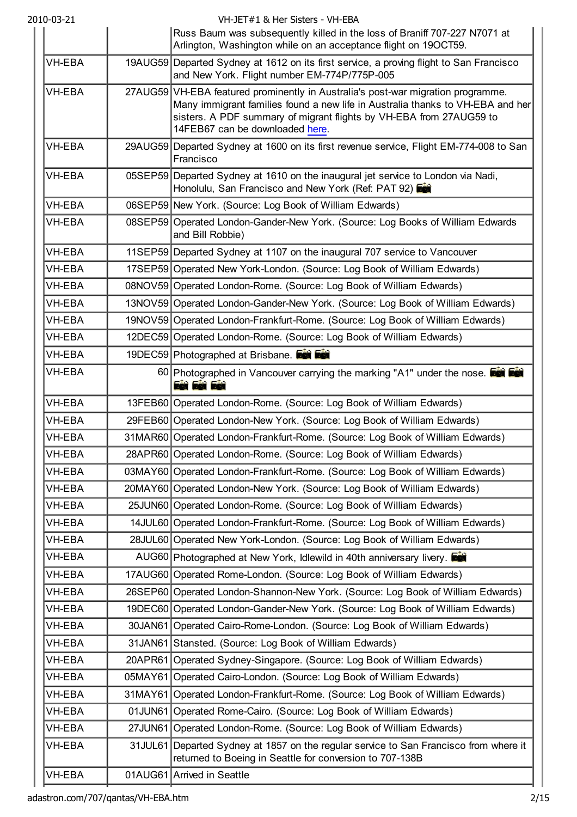| 2010-03-21    | VH-JET#1 & Her Sisters - VH-EBA<br>Russ Baum was subsequently killed in the loss of Braniff 707-227 N7071 at                                                                                                                                                                 |
|---------------|------------------------------------------------------------------------------------------------------------------------------------------------------------------------------------------------------------------------------------------------------------------------------|
| <b>VH-EBA</b> | Arlington, Washington while on an acceptance flight on 19OCT59.                                                                                                                                                                                                              |
|               | 19AUG59 Departed Sydney at 1612 on its first service, a proving flight to San Francisco<br>and New York. Flight number EM-774P/775P-005                                                                                                                                      |
| <b>VH-EBA</b> | 27AUG59 VH-EBA featured prominently in Australia's post-war migration programme.<br>Many immigrant families found a new life in Australia thanks to VH-EBA and her<br>sisters. A PDF summary of migrant flights by VH-EBA from 27AUG59 to<br>14FEB67 can be downloaded here. |
| VH-EBA        | 29AUG59 Departed Sydney at 1600 on its first revenue service, Flight EM-774-008 to San<br>Francisco                                                                                                                                                                          |
| VH-EBA        | 05SEP59 Departed Sydney at 1610 on the inaugural jet service to London via Nadi,<br>Honolulu, San Francisco and New York (Ref: PAT 92)                                                                                                                                       |
| VH-EBA        | 06SEP59 New York. (Source: Log Book of William Edwards)                                                                                                                                                                                                                      |
| <b>VH-EBA</b> | 08SEP59 Operated London-Gander-New York. (Source: Log Books of William Edwards<br>and Bill Robbie)                                                                                                                                                                           |
| <b>VH-EBA</b> | 11SEP59 Departed Sydney at 1107 on the inaugural 707 service to Vancouver                                                                                                                                                                                                    |
| <b>VH-EBA</b> | 17SEP59 Operated New York-London. (Source: Log Book of William Edwards)                                                                                                                                                                                                      |
| VH-EBA        | 08NOV59 Operated London-Rome. (Source: Log Book of William Edwards)                                                                                                                                                                                                          |
| <b>VH-EBA</b> | 13NOV59 Operated London-Gander-New York. (Source: Log Book of William Edwards)                                                                                                                                                                                               |
| VH-EBA        | 19NOV59 Operated London-Frankfurt-Rome. (Source: Log Book of William Edwards)                                                                                                                                                                                                |
| VH-EBA        | 12DEC59 Operated London-Rome. (Source: Log Book of William Edwards)                                                                                                                                                                                                          |
| VH-EBA        | 19DEC59 Photographed at Brisbane.                                                                                                                                                                                                                                            |
| <b>VH-EBA</b> | 60 Photographed in Vancouver carrying the marking "A1" under the nose. <b>For Fall</b><br><b>Eet Eet Eet</b>                                                                                                                                                                 |
| <b>VH-EBA</b> | 13FEB60 Operated London-Rome. (Source: Log Book of William Edwards)                                                                                                                                                                                                          |
| <b>VH-EBA</b> | 29FEB60 Operated London-New York. (Source: Log Book of William Edwards)                                                                                                                                                                                                      |
| <b>VH-EBA</b> | 31MAR60 Operated London-Frankfurt-Rome. (Source: Log Book of William Edwards)                                                                                                                                                                                                |
| VH-EBA        | 28APR60 Operated London-Rome. (Source: Log Book of William Edwards)                                                                                                                                                                                                          |
| VH-EBA        | 03MAY60 Operated London-Frankfurt-Rome. (Source: Log Book of William Edwards)                                                                                                                                                                                                |
| VH-EBA        | 20MAY60 Operated London-New York. (Source: Log Book of William Edwards)                                                                                                                                                                                                      |
| VH-EBA        | 25JUN60 Operated London-Rome. (Source: Log Book of William Edwards)                                                                                                                                                                                                          |
| VH-EBA        | 14JUL60 Operated London-Frankfurt-Rome. (Source: Log Book of William Edwards)                                                                                                                                                                                                |
| <b>VH-EBA</b> | 28JUL60 Operated New York-London. (Source: Log Book of William Edwards)                                                                                                                                                                                                      |
| VH-EBA        | AUG60 Photographed at New York, Idlewild in 40th anniversary livery.                                                                                                                                                                                                         |
| <b>VH-EBA</b> | 17AUG60 Operated Rome-London. (Source: Log Book of William Edwards)                                                                                                                                                                                                          |
| VH-EBA        | 26SEP60 Operated London-Shannon-New York. (Source: Log Book of William Edwards)                                                                                                                                                                                              |
| VH-EBA        | 19DEC60 Operated London-Gander-New York. (Source: Log Book of William Edwards)                                                                                                                                                                                               |
| VH-EBA        | 30JAN61 Operated Cairo-Rome-London. (Source: Log Book of William Edwards)                                                                                                                                                                                                    |
| VH-EBA        | 31JAN61 Stansted. (Source: Log Book of William Edwards)                                                                                                                                                                                                                      |
| VH-EBA        | 20APR61 Operated Sydney-Singapore. (Source: Log Book of William Edwards)                                                                                                                                                                                                     |
| VH-EBA        | 05MAY61 Operated Cairo-London. (Source: Log Book of William Edwards)                                                                                                                                                                                                         |
| VH-EBA        | 31MAY61 Operated London-Frankfurt-Rome. (Source: Log Book of William Edwards)                                                                                                                                                                                                |
| VH-EBA        | 01 JUN61 Operated Rome-Cairo. (Source: Log Book of William Edwards)                                                                                                                                                                                                          |
| VH-EBA        | 27JUN61 Operated London-Rome. (Source: Log Book of William Edwards)                                                                                                                                                                                                          |
| VH-EBA        | 31JUL61 Departed Sydney at 1857 on the regular service to San Francisco from where it<br>returned to Boeing in Seattle for conversion to 707-138B                                                                                                                            |
| <b>VH-EBA</b> | 01AUG61 Arrived in Seattle                                                                                                                                                                                                                                                   |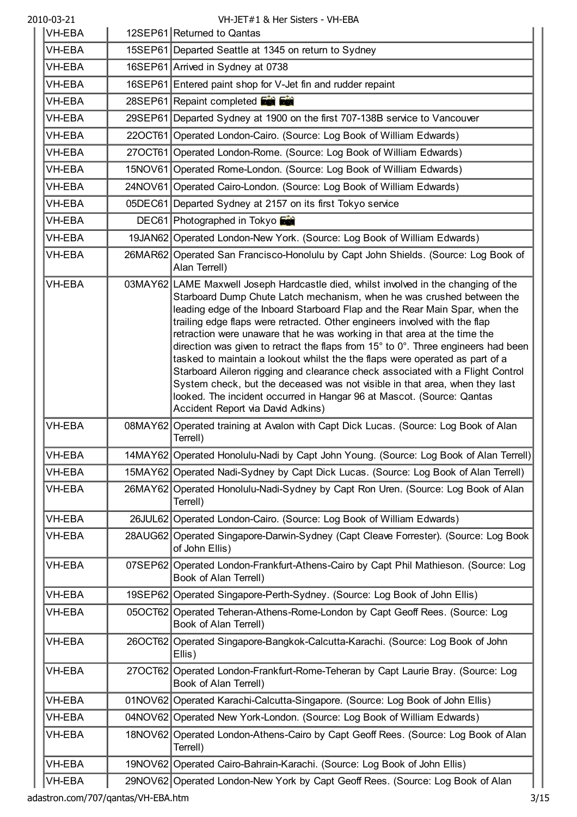| 2010-03-21    | VH-JET#1 & Her Sisters - VH-EBA                                                                                                                                                                                                                                                                                                                                                                                                                                                                                                                                                                                                                                                                                                                                                                                                                                              |
|---------------|------------------------------------------------------------------------------------------------------------------------------------------------------------------------------------------------------------------------------------------------------------------------------------------------------------------------------------------------------------------------------------------------------------------------------------------------------------------------------------------------------------------------------------------------------------------------------------------------------------------------------------------------------------------------------------------------------------------------------------------------------------------------------------------------------------------------------------------------------------------------------|
| <b>VH-EBA</b> | 12SEP61 Returned to Qantas                                                                                                                                                                                                                                                                                                                                                                                                                                                                                                                                                                                                                                                                                                                                                                                                                                                   |
| <b>VH-EBA</b> | 15SEP61 Departed Seattle at 1345 on return to Sydney                                                                                                                                                                                                                                                                                                                                                                                                                                                                                                                                                                                                                                                                                                                                                                                                                         |
| VH-EBA        | 16SEP61 Arrived in Sydney at 0738                                                                                                                                                                                                                                                                                                                                                                                                                                                                                                                                                                                                                                                                                                                                                                                                                                            |
| VH-EBA        | 16SEP61 Entered paint shop for V-Jet fin and rudder repaint                                                                                                                                                                                                                                                                                                                                                                                                                                                                                                                                                                                                                                                                                                                                                                                                                  |
| VH-EBA        | 28SEP61 Repaint completed <b>For Fact</b>                                                                                                                                                                                                                                                                                                                                                                                                                                                                                                                                                                                                                                                                                                                                                                                                                                    |
| VH-EBA        | 29SEP61 Departed Sydney at 1900 on the first 707-138B service to Vancouver                                                                                                                                                                                                                                                                                                                                                                                                                                                                                                                                                                                                                                                                                                                                                                                                   |
| <b>VH-EBA</b> | 22OCT61 Operated London-Cairo. (Source: Log Book of William Edwards)                                                                                                                                                                                                                                                                                                                                                                                                                                                                                                                                                                                                                                                                                                                                                                                                         |
| <b>VH-EBA</b> | 27OCT61 Operated London-Rome. (Source: Log Book of William Edwards)                                                                                                                                                                                                                                                                                                                                                                                                                                                                                                                                                                                                                                                                                                                                                                                                          |
| VH-EBA        | 15NOV61 Operated Rome-London. (Source: Log Book of William Edwards)                                                                                                                                                                                                                                                                                                                                                                                                                                                                                                                                                                                                                                                                                                                                                                                                          |
| VH-EBA        | 24NOV61 Operated Cairo-London. (Source: Log Book of William Edwards)                                                                                                                                                                                                                                                                                                                                                                                                                                                                                                                                                                                                                                                                                                                                                                                                         |
| <b>VH-EBA</b> | 05DEC61 Departed Sydney at 2157 on its first Tokyo service                                                                                                                                                                                                                                                                                                                                                                                                                                                                                                                                                                                                                                                                                                                                                                                                                   |
| VH-EBA        | DEC61 Photographed in Tokyo                                                                                                                                                                                                                                                                                                                                                                                                                                                                                                                                                                                                                                                                                                                                                                                                                                                  |
| <b>VH-EBA</b> | 19JAN62 Operated London-New York. (Source: Log Book of William Edwards)                                                                                                                                                                                                                                                                                                                                                                                                                                                                                                                                                                                                                                                                                                                                                                                                      |
| <b>VH-EBA</b> | 26MAR62 Operated San Francisco-Honolulu by Capt John Shields. (Source: Log Book of<br>Alan Terrell)                                                                                                                                                                                                                                                                                                                                                                                                                                                                                                                                                                                                                                                                                                                                                                          |
| <b>VH-EBA</b> | 03MAY62 LAME Maxwell Joseph Hardcastle died, whilst involved in the changing of the<br>Starboard Dump Chute Latch mechanism, when he was crushed between the<br>leading edge of the Inboard Starboard Flap and the Rear Main Spar, when the<br>trailing edge flaps were retracted. Other engineers involved with the flap<br>retraction were unaware that he was working in that area at the time the<br>direction was given to retract the flaps from $15^{\circ}$ to $0^{\circ}$ . Three engineers had been<br>tasked to maintain a lookout whilst the the flaps were operated as part of a<br>Starboard Aileron rigging and clearance check associated with a Flight Control<br>System check, but the deceased was not visible in that area, when they last<br>looked. The incident occurred in Hangar 96 at Mascot. (Source: Qantas<br>Accident Report via David Adkins) |
| <b>VH-EBA</b> | 08MAY62 Operated training at Avalon with Capt Dick Lucas. (Source: Log Book of Alan<br>Terrell)                                                                                                                                                                                                                                                                                                                                                                                                                                                                                                                                                                                                                                                                                                                                                                              |
| VH-EBA        | 14MAY62 Operated Honolulu-Nadi by Capt John Young. (Source: Log Book of Alan Terrell)                                                                                                                                                                                                                                                                                                                                                                                                                                                                                                                                                                                                                                                                                                                                                                                        |
| VH-EBA        | 15MAY62 Operated Nadi-Sydney by Capt Dick Lucas. (Source: Log Book of Alan Terrell)                                                                                                                                                                                                                                                                                                                                                                                                                                                                                                                                                                                                                                                                                                                                                                                          |
| VH-EBA        | 26MAY62 Operated Honolulu-Nadi-Sydney by Capt Ron Uren. (Source: Log Book of Alan<br>Terrell)                                                                                                                                                                                                                                                                                                                                                                                                                                                                                                                                                                                                                                                                                                                                                                                |
| <b>VH-EBA</b> | 26JUL62 Operated London-Cairo. (Source: Log Book of William Edwards)                                                                                                                                                                                                                                                                                                                                                                                                                                                                                                                                                                                                                                                                                                                                                                                                         |
| VH-EBA        | 28AUG62 Operated Singapore-Darwin-Sydney (Capt Cleave Forrester). (Source: Log Book<br>of John Ellis)                                                                                                                                                                                                                                                                                                                                                                                                                                                                                                                                                                                                                                                                                                                                                                        |
| <b>VH-EBA</b> | 07SEP62 Operated London-Frankfurt-Athens-Cairo by Capt Phil Mathieson. (Source: Log<br>Book of Alan Terrell)                                                                                                                                                                                                                                                                                                                                                                                                                                                                                                                                                                                                                                                                                                                                                                 |
| VH-EBA        | 19SEP62 Operated Singapore-Perth-Sydney. (Source: Log Book of John Ellis)                                                                                                                                                                                                                                                                                                                                                                                                                                                                                                                                                                                                                                                                                                                                                                                                    |
| VH-EBA        | 05OCT62 Operated Teheran-Athens-Rome-London by Capt Geoff Rees. (Source: Log<br>Book of Alan Terrell)                                                                                                                                                                                                                                                                                                                                                                                                                                                                                                                                                                                                                                                                                                                                                                        |
| VH-EBA        | 26OCT62 Operated Singapore-Bangkok-Calcutta-Karachi. (Source: Log Book of John<br>Ellis)                                                                                                                                                                                                                                                                                                                                                                                                                                                                                                                                                                                                                                                                                                                                                                                     |
| <b>VH-EBA</b> | 27OCT62 Operated London-Frankfurt-Rome-Teheran by Capt Laurie Bray. (Source: Log<br>Book of Alan Terrell)                                                                                                                                                                                                                                                                                                                                                                                                                                                                                                                                                                                                                                                                                                                                                                    |
| VH-EBA        | 01NOV62 Operated Karachi-Calcutta-Singapore. (Source: Log Book of John Ellis)                                                                                                                                                                                                                                                                                                                                                                                                                                                                                                                                                                                                                                                                                                                                                                                                |
| <b>VH-EBA</b> | 04NOV62 Operated New York-London. (Source: Log Book of William Edwards)                                                                                                                                                                                                                                                                                                                                                                                                                                                                                                                                                                                                                                                                                                                                                                                                      |
| VH-EBA        | 18NOV62 Operated London-Athens-Cairo by Capt Geoff Rees. (Source: Log Book of Alan<br>Terrell)                                                                                                                                                                                                                                                                                                                                                                                                                                                                                                                                                                                                                                                                                                                                                                               |
| VH-EBA        | 19NOV62 Operated Cairo-Bahrain-Karachi. (Source: Log Book of John Ellis)                                                                                                                                                                                                                                                                                                                                                                                                                                                                                                                                                                                                                                                                                                                                                                                                     |
| VH-EBA        | 29NOV62 Operated London-New York by Capt Geoff Rees. (Source: Log Book of Alan                                                                                                                                                                                                                                                                                                                                                                                                                                                                                                                                                                                                                                                                                                                                                                                               |

VH-EBA 29NOV62 Operated London-New York by Capt Geoff Rees. (Source: Log Book of Alan adastron.com/707/qantas/VH-EBA.htm 3/15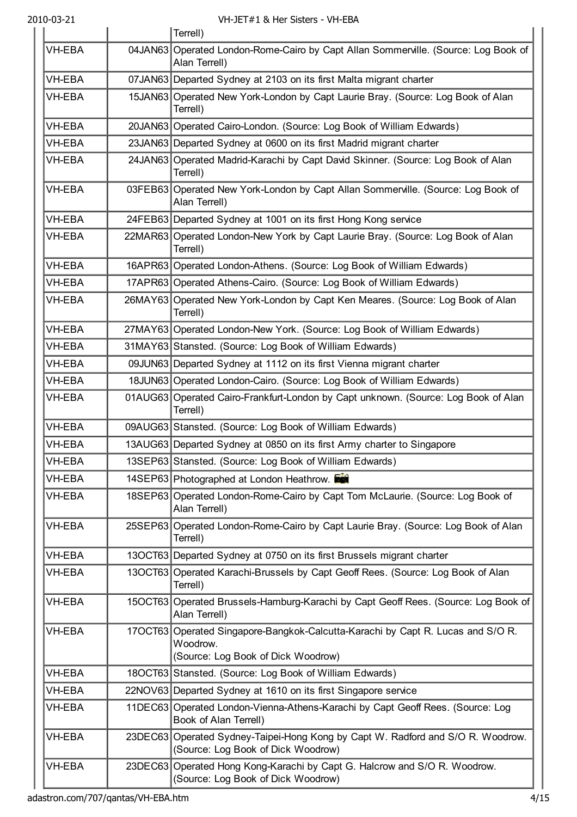|               | Terrell)                                                                                                                          |
|---------------|-----------------------------------------------------------------------------------------------------------------------------------|
| <b>VH-EBA</b> | 04JAN63 Operated London-Rome-Cairo by Capt Allan Sommerville. (Source: Log Book of<br>Alan Terrell)                               |
| VH-EBA        | 07JAN63 Departed Sydney at 2103 on its first Malta migrant charter                                                                |
| <b>VH-EBA</b> | 15JAN63 Operated New York-London by Capt Laurie Bray. (Source: Log Book of Alan<br>Terrell)                                       |
| <b>VH-EBA</b> | 20JAN63 Operated Cairo-London. (Source: Log Book of William Edwards)                                                              |
| <b>VH-EBA</b> | 23JAN63 Departed Sydney at 0600 on its first Madrid migrant charter                                                               |
| <b>VH-EBA</b> | 24JAN63 Operated Madrid-Karachi by Capt David Skinner. (Source: Log Book of Alan<br>Terrell)                                      |
| <b>VH-EBA</b> | 03FEB63 Operated New York-London by Capt Allan Sommerville. (Source: Log Book of<br>Alan Terrell)                                 |
| <b>VH-EBA</b> | 24FEB63 Departed Sydney at 1001 on its first Hong Kong service                                                                    |
| <b>VH-EBA</b> | 22MAR63 Operated London-New York by Capt Laurie Bray. (Source: Log Book of Alan<br>Terrell)                                       |
| <b>VH-EBA</b> | 16APR63 Operated London-Athens. (Source: Log Book of William Edwards)                                                             |
| <b>VH-EBA</b> | 17APR63 Operated Athens-Cairo. (Source: Log Book of William Edwards)                                                              |
| <b>VH-EBA</b> | 26MAY63 Operated New York-London by Capt Ken Meares. (Source: Log Book of Alan<br>Terrell)                                        |
| VH-EBA        | 27MAY63 Operated London-New York. (Source: Log Book of William Edwards)                                                           |
| VH-EBA        | 31MAY63 Stansted. (Source: Log Book of William Edwards)                                                                           |
| <b>VH-EBA</b> | 09JUN63 Departed Sydney at 1112 on its first Vienna migrant charter                                                               |
| <b>VH-EBA</b> | 18JUN63 Operated London-Cairo. (Source: Log Book of William Edwards)                                                              |
| <b>VH-EBA</b> | 01AUG63 Operated Cairo-Frankfurt-London by Capt unknown. (Source: Log Book of Alan<br>Terrell)                                    |
| <b>VH-EBA</b> | 09AUG63 Stansted. (Source: Log Book of William Edwards)                                                                           |
| VH-EBA        | 13AUG63 Departed Sydney at 0850 on its first Army charter to Singapore                                                            |
| <b>VH-EBA</b> | 13SEP63 Stansted. (Source: Log Book of William Edwards)                                                                           |
| VH-EBA        | 14SEP63 Photographed at London Heathrow.                                                                                          |
| VH-EBA        | 18SEP63 Operated London-Rome-Cairo by Capt Tom McLaurie. (Source: Log Book of<br>Alan Terrell)                                    |
| VH-EBA        | 25SEP63 Operated London-Rome-Cairo by Capt Laurie Bray. (Source: Log Book of Alan<br>Terrell)                                     |
| VH-EBA        | 13OCT63 Departed Sydney at 0750 on its first Brussels migrant charter                                                             |
| VH-EBA        | 13OCT63 Operated Karachi-Brussels by Capt Geoff Rees. (Source: Log Book of Alan<br>Terrell)                                       |
| VH-EBA        | 15OCT63 Operated Brussels-Hamburg-Karachi by Capt Geoff Rees. (Source: Log Book of<br>Alan Terrell)                               |
| VH-EBA        | 17OCT63 Operated Singapore-Bangkok-Calcutta-Karachi by Capt R. Lucas and S/O R.<br>Woodrow.<br>(Source: Log Book of Dick Woodrow) |
| VH-EBA        | 18OCT63 Stansted. (Source: Log Book of William Edwards)                                                                           |
| VH-EBA        | 22NOV63 Departed Sydney at 1610 on its first Singapore service                                                                    |
| VH-EBA        | 11DEC63 Operated London-Vienna-Athens-Karachi by Capt Geoff Rees. (Source: Log<br>Book of Alan Terrell)                           |
| <b>VH-EBA</b> | 23DEC63 Operated Sydney-Taipei-Hong Kong by Capt W. Radford and S/O R. Woodrow.<br>(Source: Log Book of Dick Woodrow)             |
| VH-EBA        | 23DEC63 Operated Hong Kong-Karachi by Capt G. Halcrow and S/O R. Woodrow.<br>(Source: Log Book of Dick Woodrow)                   |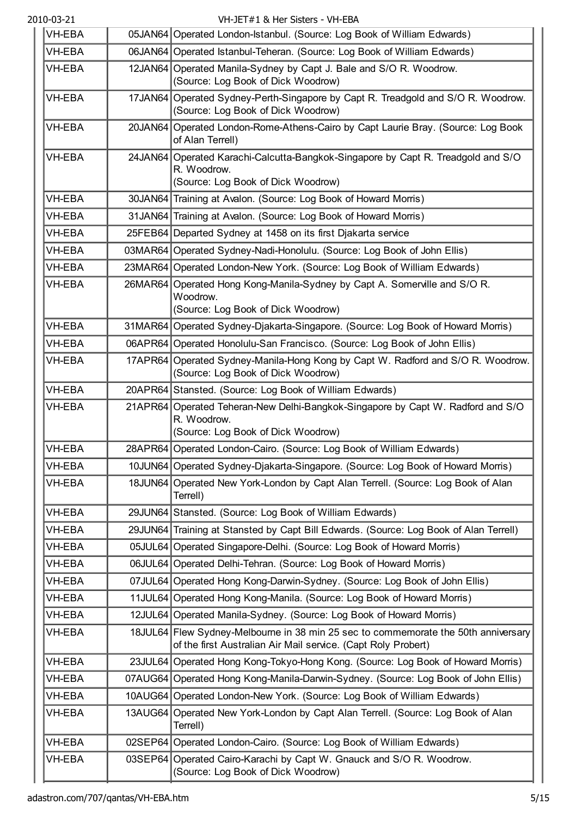| <b>VH-EBA</b> | 05JAN64 Operated London-Istanbul. (Source: Log Book of William Edwards)                                                                             |
|---------------|-----------------------------------------------------------------------------------------------------------------------------------------------------|
| VH-EBA        | 06JAN64 Operated Istanbul-Teheran. (Source: Log Book of William Edwards)                                                                            |
| <b>VH-EBA</b> | 12JAN64 Operated Manila-Sydney by Capt J. Bale and S/O R. Woodrow.<br>(Source: Log Book of Dick Woodrow)                                            |
| <b>VH-EBA</b> | 17JAN64 Operated Sydney-Perth-Singapore by Capt R. Treadgold and S/O R. Woodrow.<br>(Source: Log Book of Dick Woodrow)                              |
| <b>VH-EBA</b> | 20JAN64 Operated London-Rome-Athens-Cairo by Capt Laurie Bray. (Source: Log Book<br>of Alan Terrell)                                                |
| VH-EBA        | 24JAN64 Operated Karachi-Calcutta-Bangkok-Singapore by Capt R. Treadgold and S/O<br>R. Woodrow.<br>(Source: Log Book of Dick Woodrow)               |
| <b>VH-EBA</b> | 30JAN64 Training at Avalon. (Source: Log Book of Howard Morris)                                                                                     |
| <b>VH-EBA</b> | 31JAN64 Training at Avalon. (Source: Log Book of Howard Morris)                                                                                     |
| <b>VH-EBA</b> | 25FEB64 Departed Sydney at 1458 on its first Djakarta service                                                                                       |
| <b>VH-EBA</b> | 03MAR64 Operated Sydney-Nadi-Honolulu. (Source: Log Book of John Ellis)                                                                             |
| <b>VH-EBA</b> | 23MAR64 Operated London-New York. (Source: Log Book of William Edwards)                                                                             |
| <b>VH-EBA</b> | 26MAR64 Operated Hong Kong-Manila-Sydney by Capt A. Somerville and S/O R.<br>Woodrow.<br>(Source: Log Book of Dick Woodrow)                         |
| <b>VH-EBA</b> | 31MAR64 Operated Sydney-Djakarta-Singapore. (Source: Log Book of Howard Morris)                                                                     |
| <b>VH-EBA</b> | 06APR64 Operated Honolulu-San Francisco. (Source: Log Book of John Ellis)                                                                           |
| <b>VH-EBA</b> | 17APR64 Operated Sydney-Manila-Hong Kong by Capt W. Radford and S/O R. Woodrow.<br>(Source: Log Book of Dick Woodrow)                               |
| <b>VH-EBA</b> | 20APR64 Stansted. (Source: Log Book of William Edwards)                                                                                             |
| <b>VH-EBA</b> | 21APR64 Operated Teheran-New Delhi-Bangkok-Singapore by Capt W. Radford and S/O<br>R. Woodrow.<br>(Source: Log Book of Dick Woodrow)                |
| VH-EBA        | 28APR64 Operated London-Cairo. (Source: Log Book of William Edwards)                                                                                |
| <b>VH-EBA</b> | 10JUN64 Operated Sydney-Djakarta-Singapore. (Source: Log Book of Howard Morris)                                                                     |
| <b>VH-EBA</b> | 18JUN64 Operated New York-London by Capt Alan Terrell. (Source: Log Book of Alan<br>Terrell)                                                        |
| VH-EBA        | 29JUN64 Stansted. (Source: Log Book of William Edwards)                                                                                             |
| <b>VH-EBA</b> | 29JUN64 Training at Stansted by Capt Bill Edwards. (Source: Log Book of Alan Terrell)                                                               |
| <b>VH-EBA</b> | 05JUL64 Operated Singapore-Delhi. (Source: Log Book of Howard Morris)                                                                               |
| VH-EBA        | 06JUL64 Operated Delhi-Tehran. (Source: Log Book of Howard Morris)                                                                                  |
| <b>VH-EBA</b> | 07JUL64 Operated Hong Kong-Darwin-Sydney. (Source: Log Book of John Ellis)                                                                          |
| VH-EBA        | 11JUL64 Operated Hong Kong-Manila. (Source: Log Book of Howard Morris)                                                                              |
| <b>VH-EBA</b> | 12JUL64 Operated Manila-Sydney. (Source: Log Book of Howard Morris)                                                                                 |
| <b>VH-EBA</b> | 18JUL64 Flew Sydney-Melbourne in 38 min 25 sec to commemorate the 50th anniversary<br>of the first Australian Air Mail service. (Capt Roly Probert) |
| <b>VH-EBA</b> | 23JUL64 Operated Hong Kong-Tokyo-Hong Kong. (Source: Log Book of Howard Morris)                                                                     |
| VH-EBA        | 07AUG64 Operated Hong Kong-Manila-Darwin-Sydney. (Source: Log Book of John Ellis)                                                                   |
| <b>VH-EBA</b> | 10AUG64 Operated London-New York. (Source: Log Book of William Edwards)                                                                             |
| VH-EBA        | 13AUG64 Operated New York-London by Capt Alan Terrell. (Source: Log Book of Alan<br>Terrell)                                                        |
| <b>VH-EBA</b> | 02SEP64 Operated London-Cairo. (Source: Log Book of William Edwards)                                                                                |
| VH-EBA        | 03SEP64 Operated Cairo-Karachi by Capt W. Gnauck and S/O R. Woodrow.<br>(Source: Log Book of Dick Woodrow)                                          |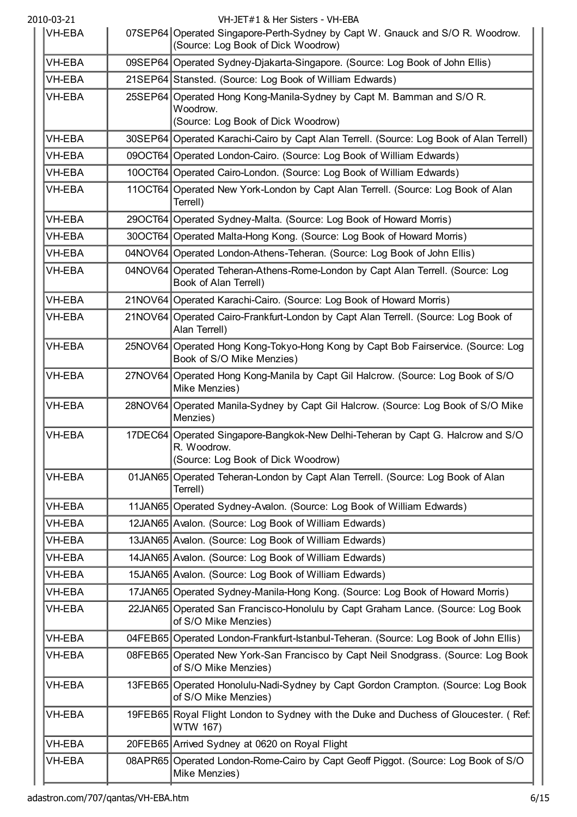| 2010-03-21    |         | VH-JET#1 & Her Sisters - VH-EBA                                                                                                      |
|---------------|---------|--------------------------------------------------------------------------------------------------------------------------------------|
| VH-EBA        |         | 07SEP64 Operated Singapore-Perth-Sydney by Capt W. Gnauck and S/O R. Woodrow.<br>(Source: Log Book of Dick Woodrow)                  |
| <b>VH-EBA</b> |         | 09SEP64 Operated Sydney-Djakarta-Singapore. (Source: Log Book of John Ellis)                                                         |
| <b>VH-EBA</b> |         | 21SEP64 Stansted. (Source: Log Book of William Edwards)                                                                              |
| <b>VH-EBA</b> | 25SEP64 | Operated Hong Kong-Manila-Sydney by Capt M. Bamman and S/O R.<br>Woodrow.<br>(Source: Log Book of Dick Woodrow)                      |
| <b>VH-EBA</b> |         | 30SEP64 Operated Karachi-Cairo by Capt Alan Terrell. (Source: Log Book of Alan Terrell)                                              |
| <b>VH-EBA</b> |         | 09OCT64 Operated London-Cairo. (Source: Log Book of William Edwards)                                                                 |
| <b>VH-EBA</b> |         | 10OCT64 Operated Cairo-London. (Source: Log Book of William Edwards)                                                                 |
| <b>VH-EBA</b> |         | 11OCT64 Operated New York-London by Capt Alan Terrell. (Source: Log Book of Alan<br>Terrell)                                         |
| <b>VH-EBA</b> |         | 29OCT64 Operated Sydney-Malta. (Source: Log Book of Howard Morris)                                                                   |
| <b>VH-EBA</b> |         | 30OCT64 Operated Malta-Hong Kong. (Source: Log Book of Howard Morris)                                                                |
| <b>VH-EBA</b> |         | 04NOV64 Operated London-Athens-Teheran. (Source: Log Book of John Ellis)                                                             |
| <b>VH-EBA</b> |         | 04NOV64 Operated Teheran-Athens-Rome-London by Capt Alan Terrell. (Source: Log<br>Book of Alan Terrell)                              |
| <b>VH-EBA</b> |         | 21NOV64 Operated Karachi-Cairo. (Source: Log Book of Howard Morris)                                                                  |
| <b>VH-EBA</b> |         | 21NOV64 Operated Cairo-Frankfurt-London by Capt Alan Terrell. (Source: Log Book of<br>Alan Terrell)                                  |
| VH-EBA        |         | 25NOV64 Operated Hong Kong-Tokyo-Hong Kong by Capt Bob Fairservice. (Source: Log<br>Book of S/O Mike Menzies)                        |
| <b>VH-EBA</b> |         | 27NOV64 Operated Hong Kong-Manila by Capt Gil Halcrow. (Source: Log Book of S/O<br>Mike Menzies)                                     |
| <b>VH-EBA</b> |         | 28NOV64 Operated Manila-Sydney by Capt Gil Halcrow. (Source: Log Book of S/O Mike<br>Menzies)                                        |
| VH-EBA        |         | 17DEC64 Operated Singapore-Bangkok-New Delhi-Teheran by Capt G. Halcrow and S/O<br>R. Woodrow.<br>(Source: Log Book of Dick Woodrow) |
| <b>VH-EBA</b> |         | 01JAN65 Operated Teheran-London by Capt Alan Terrell. (Source: Log Book of Alan<br>Terrell)                                          |
| VH-EBA        |         | 11JAN65 Operated Sydney-Avalon. (Source: Log Book of William Edwards)                                                                |
| VH-EBA        |         | 12JAN65 Avalon. (Source: Log Book of William Edwards)                                                                                |
| VH-EBA        |         | 13JAN65 Avalon. (Source: Log Book of William Edwards)                                                                                |
| VH-EBA        |         | 14JAN65 Avalon. (Source: Log Book of William Edwards)                                                                                |
| <b>VH-EBA</b> |         | 15JAN65 Avalon. (Source: Log Book of William Edwards)                                                                                |
| <b>VH-EBA</b> |         | 17JAN65 Operated Sydney-Manila-Hong Kong. (Source: Log Book of Howard Morris)                                                        |
| VH-EBA        |         | 22JAN65 Operated San Francisco-Honolulu by Capt Graham Lance. (Source: Log Book<br>of S/O Mike Menzies)                              |
| <b>VH-EBA</b> |         | 04FEB65 Operated London-Frankfurt-Istanbul-Teheran. (Source: Log Book of John Ellis)                                                 |
| VH-EBA        |         | 08FEB65 Operated New York-San Francisco by Capt Neil Snodgrass. (Source: Log Book<br>of S/O Mike Menzies)                            |
| <b>VH-EBA</b> |         | 13FEB65 Operated Honolulu-Nadi-Sydney by Capt Gordon Crampton. (Source: Log Book<br>of S/O Mike Menzies)                             |
| <b>VH-EBA</b> |         | 19FEB65 Royal Flight London to Sydney with the Duke and Duchess of Gloucester. (Ref.<br>WTW 167)                                     |
| <b>VH-EBA</b> |         | 20FEB65 Arrived Sydney at 0620 on Royal Flight                                                                                       |
| <b>VH-EBA</b> |         | 08APR65 Operated London-Rome-Cairo by Capt Geoff Piggot. (Source: Log Book of S/O<br>Mike Menzies)                                   |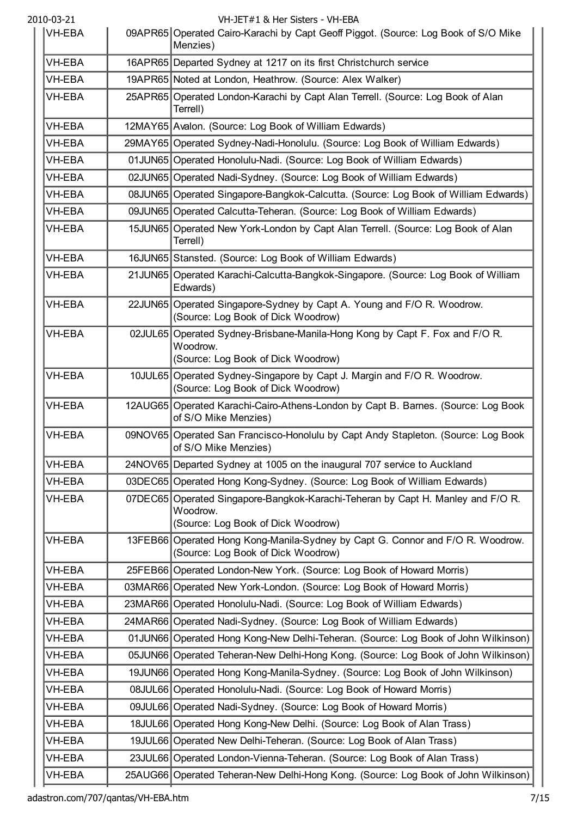| <b>VH-EBA</b> | 09APR65 Operated Cairo-Karachi by Capt Geoff Piggot. (Source: Log Book of S/O Mike<br>Menzies)                                    |
|---------------|-----------------------------------------------------------------------------------------------------------------------------------|
| <b>VH-EBA</b> | 16APR65 Departed Sydney at 1217 on its first Christchurch service                                                                 |
| <b>VH-EBA</b> | 19APR65 Noted at London, Heathrow. (Source: Alex Walker)                                                                          |
| <b>VH-EBA</b> | 25APR65 Operated London-Karachi by Capt Alan Terrell. (Source: Log Book of Alan<br>Terrell)                                       |
| VH-EBA        | 12MAY65 Avalon. (Source: Log Book of William Edwards)                                                                             |
| VH-EBA        | 29MAY65 Operated Sydney-Nadi-Honolulu. (Source: Log Book of William Edwards)                                                      |
| VH-EBA        | 01 JUN65 Operated Honolulu-Nadi. (Source: Log Book of William Edwards)                                                            |
| VH-EBA        | 02JUN65 Operated Nadi-Sydney. (Source: Log Book of William Edwards)                                                               |
| VH-EBA        | 08JUN65 Operated Singapore-Bangkok-Calcutta. (Source: Log Book of William Edwards)                                                |
| VH-EBA        | 09JUN65 Operated Calcutta-Teheran. (Source: Log Book of William Edwards)                                                          |
| VH-EBA        | 15JUN65 Operated New York-London by Capt Alan Terrell. (Source: Log Book of Alan<br>Terrell)                                      |
| <b>VH-EBA</b> | 16JUN65 Stansted. (Source: Log Book of William Edwards)                                                                           |
| VH-EBA        | 21JUN65 Operated Karachi-Calcutta-Bangkok-Singapore. (Source: Log Book of William<br>Edwards)                                     |
| VH-EBA        | 22JUN65 Operated Singapore-Sydney by Capt A. Young and F/O R. Woodrow.<br>(Source: Log Book of Dick Woodrow)                      |
| VH-EBA        | 02JUL65   Operated Sydney-Brisbane-Manila-Hong Kong by Capt F. Fox and F/O R.<br>Woodrow.<br>(Source: Log Book of Dick Woodrow)   |
| <b>VH-EBA</b> | 10JUL65 Operated Sydney-Singapore by Capt J. Margin and F/O R. Woodrow.<br>(Source: Log Book of Dick Woodrow)                     |
| <b>VH-EBA</b> | 12AUG65 Operated Karachi-Cairo-Athens-London by Capt B. Barnes. (Source: Log Book<br>of S/O Mike Menzies)                         |
| <b>VH-EBA</b> | 09NOV65 Operated San Francisco-Honolulu by Capt Andy Stapleton. (Source: Log Book<br>of S/O Mike Menzies)                         |
| VH-EBA        | 24NOV65 Departed Sydney at 1005 on the inaugural 707 service to Auckland                                                          |
| VH-EBA        | 03DEC65 Operated Hong Kong-Sydney. (Source: Log Book of William Edwards)                                                          |
| <b>VH-EBA</b> | 07DEC65 Operated Singapore-Bangkok-Karachi-Teheran by Capt H. Manley and F/O R.<br>Woodrow.<br>(Source: Log Book of Dick Woodrow) |
| <b>VH-EBA</b> | 13FEB66 Operated Hong Kong-Manila-Sydney by Capt G. Connor and F/O R. Woodrow.<br>(Source: Log Book of Dick Woodrow)              |
| <b>VH-EBA</b> | 25FEB66 Operated London-New York. (Source: Log Book of Howard Morris)                                                             |
| VH-EBA        | 03MAR66 Operated New York-London. (Source: Log Book of Howard Morris)                                                             |
| VH-EBA        | 23MAR66 Operated Honolulu-Nadi. (Source: Log Book of William Edwards)                                                             |
| VH-EBA        | 24MAR66 Operated Nadi-Sydney. (Source: Log Book of William Edwards)                                                               |
| VH-EBA        | 01JUN66 Operated Hong Kong-New Delhi-Teheran. (Source: Log Book of John Wilkinson)                                                |
| <b>VH-EBA</b> | 05JUN66 Operated Teheran-New Delhi-Hong Kong. (Source: Log Book of John Wilkinson)                                                |
| <b>VH-EBA</b> | 19JUN66 Operated Hong Kong-Manila-Sydney. (Source: Log Book of John Wilkinson)                                                    |
| VH-EBA        | 08JUL66 Operated Honolulu-Nadi. (Source: Log Book of Howard Morris)                                                               |
| VH-EBA        | 09JUL66 Operated Nadi-Sydney. (Source: Log Book of Howard Morris)                                                                 |
| VH-EBA        | 18JUL66 Operated Hong Kong-New Delhi. (Source: Log Book of Alan Trass)                                                            |
| VH-EBA        | 19JUL66 Operated New Delhi-Teheran. (Source: Log Book of Alan Trass)                                                              |
| VH-EBA        | 23JUL66 Operated London-Vienna-Teheran. (Source: Log Book of Alan Trass)                                                          |
| VH-EBA        | 25AUG66 Operated Teheran-New Delhi-Hong Kong. (Source: Log Book of John Wilkinson)                                                |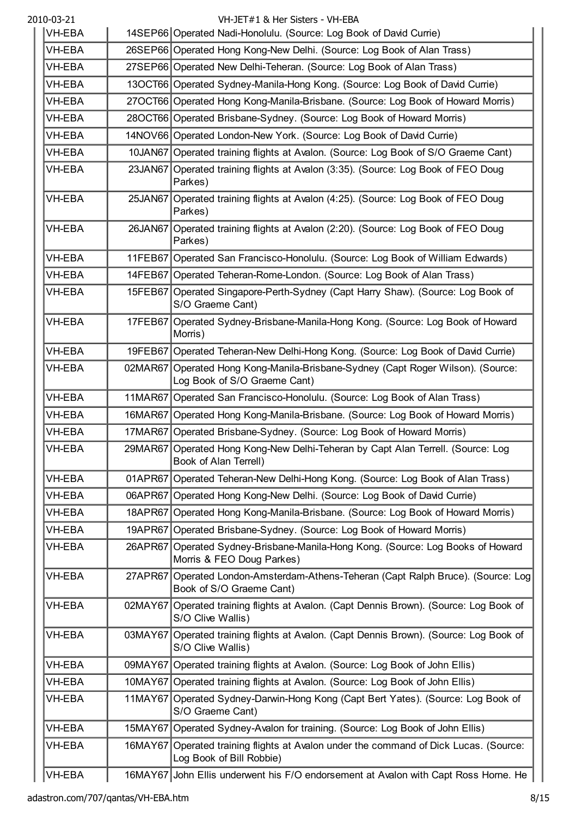| <b>VH-EBA</b> | 14SEP66 Operated Nadi-Honolulu. (Source: Log Book of David Currie)                                                |
|---------------|-------------------------------------------------------------------------------------------------------------------|
| <b>VH-EBA</b> | 26SEP66 Operated Hong Kong-New Delhi. (Source: Log Book of Alan Trass)                                            |
| VH-EBA        | 27SEP66 Operated New Delhi-Teheran. (Source: Log Book of Alan Trass)                                              |
| <b>VH-EBA</b> | 13OCT66 Operated Sydney-Manila-Hong Kong. (Source: Log Book of David Currie)                                      |
| VH-EBA        | 27OCT66 Operated Hong Kong-Manila-Brisbane. (Source: Log Book of Howard Morris)                                   |
| VH-EBA        | 28OCT66 Operated Brisbane-Sydney. (Source: Log Book of Howard Morris)                                             |
| <b>VH-EBA</b> | 14NOV66 Operated London-New York. (Source: Log Book of David Currie)                                              |
| VH-EBA        | 10JAN67 Operated training flights at Avalon. (Source: Log Book of S/O Graeme Cant)                                |
| VH-EBA        | 23JAN67 Operated training flights at Avalon (3:35). (Source: Log Book of FEO Doug<br>Parkes)                      |
| <b>VH-EBA</b> | 25JAN67 Operated training flights at Avalon (4:25). (Source: Log Book of FEO Doug<br>Parkes)                      |
| <b>VH-EBA</b> | 26JAN67 Operated training flights at Avalon (2:20). (Source: Log Book of FEO Doug<br>Parkes)                      |
| VH-EBA        | 11FEB67 Operated San Francisco-Honolulu. (Source: Log Book of William Edwards)                                    |
| VH-EBA        | 14FEB67   Operated Teheran-Rome-London. (Source: Log Book of Alan Trass)                                          |
| VH-EBA        | 15FEB67 Operated Singapore-Perth-Sydney (Capt Harry Shaw). (Source: Log Book of<br>S/O Graeme Cant)               |
| VH-EBA        | 17FEB67 Operated Sydney-Brisbane-Manila-Hong Kong. (Source: Log Book of Howard<br>Morris)                         |
| VH-EBA        | 19FEB67 Operated Teheran-New Delhi-Hong Kong. (Source: Log Book of David Currie)                                  |
| <b>VH-EBA</b> | 02MAR67 Operated Hong Kong-Manila-Brisbane-Sydney (Capt Roger Wilson). (Source:<br>Log Book of S/O Graeme Cant)   |
| VH-EBA        | 11MAR67 Operated San Francisco-Honolulu. (Source: Log Book of Alan Trass)                                         |
| <b>VH-EBA</b> | 16MAR67 Operated Hong Kong-Manila-Brisbane. (Source: Log Book of Howard Morris)                                   |
| VH-EBA        | 17MAR67 Operated Brisbane-Sydney. (Source: Log Book of Howard Morris)                                             |
| VH-EBA        | 29MAR67 Operated Hong Kong-New Delhi-Teheran by Capt Alan Terrell. (Source: Log<br>Book of Alan Terrell)          |
| VH-EBA        | 01APR67 Operated Teheran-New Delhi-Hong Kong. (Source: Log Book of Alan Trass)                                    |
| <b>VH-EBA</b> | 06APR67 Operated Hong Kong-New Delhi. (Source: Log Book of David Currie)                                          |
| <b>VH-EBA</b> | 18APR67 Operated Hong Kong-Manila-Brisbane. (Source: Log Book of Howard Morris)                                   |
| <b>VH-EBA</b> | 19APR67 Operated Brisbane-Sydney. (Source: Log Book of Howard Morris)                                             |
| <b>VH-EBA</b> | 26APR67 Operated Sydney-Brisbane-Manila-Hong Kong. (Source: Log Books of Howard<br>Morris & FEO Doug Parkes)      |
| <b>VH-EBA</b> | 27APR67 Operated London-Amsterdam-Athens-Teheran (Capt Ralph Bruce). (Source: Log<br>Book of S/O Graeme Cant)     |
| VH-EBA        | 02MAY67 Operated training flights at Avalon. (Capt Dennis Brown). (Source: Log Book of<br>S/O Clive Wallis)       |
| <b>VH-EBA</b> | 03MAY67 Operated training flights at Avalon. (Capt Dennis Brown). (Source: Log Book of<br>S/O Clive Wallis)       |
| <b>VH-EBA</b> | 09MAY67 Operated training flights at Avalon. (Source: Log Book of John Ellis)                                     |
| <b>VH-EBA</b> | 10MAY67 Operated training flights at Avalon. (Source: Log Book of John Ellis)                                     |
| <b>VH-EBA</b> | 11MAY67 Operated Sydney-Darwin-Hong Kong (Capt Bert Yates). (Source: Log Book of<br>S/O Graeme Cant)              |
| VH-EBA        | 15MAY67 Operated Sydney-Avalon for training. (Source: Log Book of John Ellis)                                     |
| <b>VH-EBA</b> | 16MAY67 Operated training flights at Avalon under the command of Dick Lucas. (Source:<br>Log Book of Bill Robbie) |
| VH-EBA        | 16MAY67 John Ellis underwent his F/O endorsement at Avalon with Capt Ross Horne. He                               |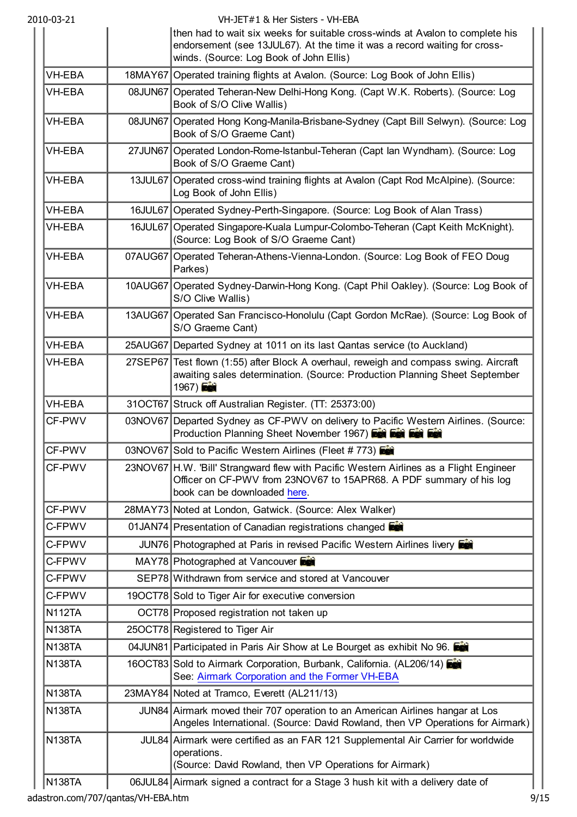| 2010-03-21    | VH-JET#1 & Her Sisters - VH-EBA                                                                                                                                                                       |
|---------------|-------------------------------------------------------------------------------------------------------------------------------------------------------------------------------------------------------|
|               | then had to wait six weeks for suitable cross-winds at Avalon to complete his<br>endorsement (see 13JUL67). At the time it was a record waiting for cross-<br>winds. (Source: Log Book of John Ellis) |
| VH-EBA        | 18MAY67 Operated training flights at Avalon. (Source: Log Book of John Ellis)                                                                                                                         |
| <b>VH-EBA</b> | 08JUN67 Operated Teheran-New Delhi-Hong Kong. (Capt W.K. Roberts). (Source: Log<br>Book of S/O Clive Wallis)                                                                                          |
| VH-EBA        | 08JUN67 Operated Hong Kong-Manila-Brisbane-Sydney (Capt Bill Selwyn). (Source: Log<br>Book of S/O Graeme Cant)                                                                                        |
| <b>VH-EBA</b> | 27JUN67 Operated London-Rome-Istanbul-Teheran (Capt lan Wyndham). (Source: Log<br>Book of S/O Graeme Cant)                                                                                            |
| VH-EBA        | 13JUL67 Operated cross-wind training flights at Avalon (Capt Rod McAlpine). (Source:<br>Log Book of John Ellis)                                                                                       |
| VH-EBA        | 16JUL67 Operated Sydney-Perth-Singapore. (Source: Log Book of Alan Trass)                                                                                                                             |
| <b>VH-EBA</b> | 16JUL67 Operated Singapore-Kuala Lumpur-Colombo-Teheran (Capt Keith McKnight).<br>(Source: Log Book of S/O Graeme Cant)                                                                               |
| VH-EBA        | 07AUG67 Operated Teheran-Athens-Vienna-London. (Source: Log Book of FEO Doug<br>Parkes)                                                                                                               |
| <b>VH-EBA</b> | 10AUG67 Operated Sydney-Darwin-Hong Kong. (Capt Phil Oakley). (Source: Log Book of<br>S/O Clive Wallis)                                                                                               |
| <b>VH-EBA</b> | 13AUG67   Operated San Francisco-Honolulu (Capt Gordon McRae). (Source: Log Book of<br>S/O Graeme Cant)                                                                                               |
| VH-EBA        | 25AUG67 Departed Sydney at 1011 on its last Qantas service (to Auckland)                                                                                                                              |
| <b>VH-EBA</b> | 27SEP67 Test flown (1:55) after Block A overhaul, reweigh and compass swing. Aircraft<br>awaiting sales determination. (Source: Production Planning Sheet September<br>1967)                          |
| VH-EBA        | 31OCT67 Struck off Australian Register. (TT: 25373:00)                                                                                                                                                |
| CF-PWV        | 03NOV67 Departed Sydney as CF-PWV on delivery to Pacific Western Airlines. (Source:<br>Production Planning Sheet November 1967) For For For                                                           |
| CF-PWV        | 03NOV67 Sold to Pacific Western Airlines (Fleet #773)                                                                                                                                                 |
| CF-PWV        | 23NOV67 H.W. 'Bill' Strangward flew with Pacific Western Airlines as a Flight Engineer<br>Officer on CF-PWV from 23NOV67 to 15APR68. A PDF summary of his log<br>book can be downloaded here.         |
| CF-PWV        | 28MAY73 Noted at London, Gatwick. (Source: Alex Walker)                                                                                                                                               |
| C-FPWV        | 01JAN74 Presentation of Canadian registrations changed                                                                                                                                                |
| C-FPWV        | JUN76 Photographed at Paris in revised Pacific Western Airlines livery                                                                                                                                |
| C-FPWV        | MAY78 Photographed at Vancouver                                                                                                                                                                       |
| C-FPWV        | SEP78 Withdrawn from service and stored at Vancouver                                                                                                                                                  |
| C-FPWV        | 19OCT78 Sold to Tiger Air for executive conversion                                                                                                                                                    |
| <b>N112TA</b> | OCT78 Proposed registration not taken up                                                                                                                                                              |
| <b>N138TA</b> | 25OCT78 Registered to Tiger Air                                                                                                                                                                       |
| <b>N138TA</b> | 04JUN81 Participated in Paris Air Show at Le Bourget as exhibit No 96.                                                                                                                                |
| <b>N138TA</b> | 16OCT83 Sold to Airmark Corporation, Burbank, California. (AL206/14)<br>See: Airmark Corporation and the Former VH-EBA                                                                                |
| <b>N138TA</b> | 23MAY84 Noted at Tramco, Everett (AL211/13)                                                                                                                                                           |
| <b>N138TA</b> | JUN84 Airmark moved their 707 operation to an American Airlines hangar at Los<br>Angeles International. (Source: David Rowland, then VP Operations for Airmark)                                       |
| <b>N138TA</b> | JUL84 Airmark were certified as an FAR 121 Supplemental Air Carrier for worldwide<br>operations.<br>(Source: David Rowland, then VP Operations for Airmark)                                           |
| <b>N138TA</b> | 06JUL84 Airmark signed a contract for a Stage 3 hush kit with a delivery date of                                                                                                                      |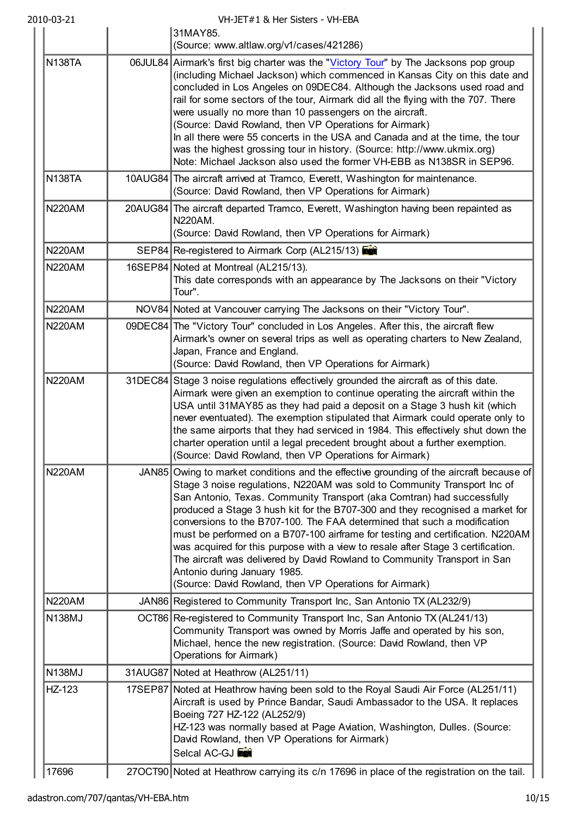|               | 31MAY85.<br>(Source: www.altlaw.org/v1/cases/421286)                                                                                                                                                                                                                                                                                                                                                                                                                                                                                                                                                                                                                                                                                                     |
|---------------|----------------------------------------------------------------------------------------------------------------------------------------------------------------------------------------------------------------------------------------------------------------------------------------------------------------------------------------------------------------------------------------------------------------------------------------------------------------------------------------------------------------------------------------------------------------------------------------------------------------------------------------------------------------------------------------------------------------------------------------------------------|
| <b>N138TA</b> | 06JUL84 Airmark's first big charter was the "Victory Tour" by The Jacksons pop group<br>(including Michael Jackson) which commenced in Kansas City on this date and<br>concluded in Los Angeles on 09DEC84. Although the Jacksons used road and<br>rail for some sectors of the tour, Airmark did all the flying with the 707. There<br>were usually no more than 10 passengers on the aircraft.<br>(Source: David Rowland, then VP Operations for Airmark)<br>In all there were 55 concerts in the USA and Canada and at the time, the tour<br>was the highest grossing tour in history. (Source: http://www.ukmix.org)<br>Note: Michael Jackson also used the former VH-EBB as N138SR in SEP96.                                                        |
| <b>N138TA</b> | 10AUG84 The aircraft arrived at Tramco, Everett, Washington for maintenance.<br>(Source: David Rowland, then VP Operations for Airmark)                                                                                                                                                                                                                                                                                                                                                                                                                                                                                                                                                                                                                  |
| <b>N220AM</b> | 20AUG84 The aircraft departed Tramco, Everett, Washington having been repainted as<br>N220AM.<br>(Source: David Rowland, then VP Operations for Airmark)                                                                                                                                                                                                                                                                                                                                                                                                                                                                                                                                                                                                 |
| <b>N220AM</b> | SEP84 Re-registered to Airmark Corp (AL215/13)                                                                                                                                                                                                                                                                                                                                                                                                                                                                                                                                                                                                                                                                                                           |
| <b>N220AM</b> | 16SEP84 Noted at Montreal (AL215/13).<br>This date corresponds with an appearance by The Jacksons on their "Victory<br>Tour".                                                                                                                                                                                                                                                                                                                                                                                                                                                                                                                                                                                                                            |
| <b>N220AM</b> | NOV84 Noted at Vancouver carrying The Jacksons on their "Victory Tour".                                                                                                                                                                                                                                                                                                                                                                                                                                                                                                                                                                                                                                                                                  |
| <b>N220AM</b> | 09DEC84 The "Victory Tour" concluded in Los Angeles. After this, the aircraft flew<br>Airmark's owner on several trips as well as operating charters to New Zealand,<br>Japan, France and England.<br>(Source: David Rowland, then VP Operations for Airmark)                                                                                                                                                                                                                                                                                                                                                                                                                                                                                            |
| <b>N220AM</b> | 31DEC84 Stage 3 noise regulations effectively grounded the aircraft as of this date.<br>Airmark were given an exemption to continue operating the aircraft within the<br>USA until 31MAY85 as they had paid a deposit on a Stage 3 hush kit (which<br>never eventuated). The exemption stipulated that Airmark could operate only to<br>the same airports that they had serviced in 1984. This effectively shut down the<br>charter operation until a legal precedent brought about a further exemption.<br>(Source: David Rowland, then VP Operations for Airmark)                                                                                                                                                                                      |
| <b>N220AM</b> | JAN85 Owing to market conditions and the effective grounding of the aircraft because of<br>Stage 3 noise regulations, N220AM was sold to Community Transport Inc of<br>San Antonio, Texas. Community Transport (aka Comtran) had successfully<br>produced a Stage 3 hush kit for the B707-300 and they recognised a market for<br>conversions to the B707-100. The FAA determined that such a modification<br>must be performed on a B707-100 airframe for testing and certification. N220AM<br>was acquired for this purpose with a view to resale after Stage 3 certification.<br>The aircraft was delivered by David Rowland to Community Transport in San<br>Antonio during January 1985.<br>(Source: David Rowland, then VP Operations for Airmark) |
| <b>N220AM</b> | JAN86 Registered to Community Transport Inc, San Antonio TX (AL232/9)                                                                                                                                                                                                                                                                                                                                                                                                                                                                                                                                                                                                                                                                                    |
| <b>N138MJ</b> | OCT86 Re-registered to Community Transport Inc, San Antonio TX (AL241/13)<br>Community Transport was owned by Morris Jaffe and operated by his son,<br>Michael, hence the new registration. (Source: David Rowland, then VP<br>Operations for Airmark)                                                                                                                                                                                                                                                                                                                                                                                                                                                                                                   |
| <b>N138MJ</b> | 31AUG87 Noted at Heathrow (AL251/11)                                                                                                                                                                                                                                                                                                                                                                                                                                                                                                                                                                                                                                                                                                                     |
| HZ-123        | 17SEP87 Noted at Heathrow having been sold to the Royal Saudi Air Force (AL251/11)<br>Aircraft is used by Prince Bandar, Saudi Ambassador to the USA. It replaces<br>Boeing 727 HZ-122 (AL252/9)<br>HZ-123 was normally based at Page Aviation, Washington, Dulles. (Source:<br>David Rowland, then VP Operations for Airmark)<br>Selcal AC-GJ                                                                                                                                                                                                                                                                                                                                                                                                           |
| 17696         | 27OCT90 Noted at Heathrow carrying its c/n 17696 in place of the registration on the tail.                                                                                                                                                                                                                                                                                                                                                                                                                                                                                                                                                                                                                                                               |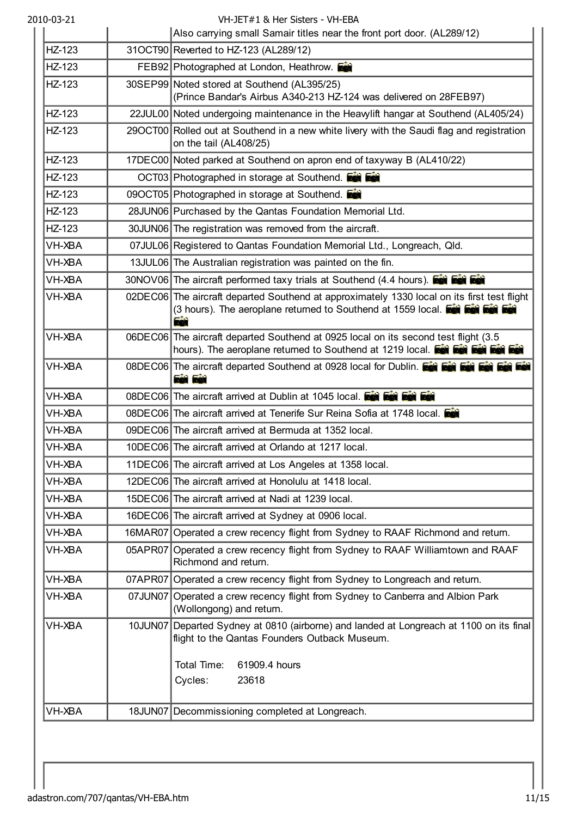| HZ-123<br>HZ-123<br>HZ-123<br>HZ-123<br>HZ-123<br>HZ-123<br>HZ-123 | Also carrying small Samair titles near the front port door. (AL289/12)<br>31OCT90 Reverted to HZ-123 (AL289/12)<br>FEB92 Photographed at London, Heathrow.<br>30SEP99 Noted stored at Southend (AL395/25)<br>(Prince Bandar's Airbus A340-213 HZ-124 was delivered on 28FEB97)<br>22JUL00 Noted undergoing maintenance in the Heavylift hangar at Southend (AL405/24)<br>29OCT00 Rolled out at Southend in a new white livery with the Saudi flag and registration<br>on the tail (AL408/25) |
|--------------------------------------------------------------------|----------------------------------------------------------------------------------------------------------------------------------------------------------------------------------------------------------------------------------------------------------------------------------------------------------------------------------------------------------------------------------------------------------------------------------------------------------------------------------------------|
|                                                                    |                                                                                                                                                                                                                                                                                                                                                                                                                                                                                              |
|                                                                    |                                                                                                                                                                                                                                                                                                                                                                                                                                                                                              |
|                                                                    |                                                                                                                                                                                                                                                                                                                                                                                                                                                                                              |
|                                                                    |                                                                                                                                                                                                                                                                                                                                                                                                                                                                                              |
|                                                                    |                                                                                                                                                                                                                                                                                                                                                                                                                                                                                              |
|                                                                    |                                                                                                                                                                                                                                                                                                                                                                                                                                                                                              |
|                                                                    | 17DEC00 Noted parked at Southend on apron end of taxyway B (AL410/22)                                                                                                                                                                                                                                                                                                                                                                                                                        |
|                                                                    | OCT03 Photographed in storage at Southend. Et Est                                                                                                                                                                                                                                                                                                                                                                                                                                            |
| HZ-123                                                             | 09OCT05 Photographed in storage at Southend.                                                                                                                                                                                                                                                                                                                                                                                                                                                 |
| HZ-123                                                             | 28JUN06 Purchased by the Qantas Foundation Memorial Ltd.                                                                                                                                                                                                                                                                                                                                                                                                                                     |
| HZ-123                                                             | 30JUN06 The registration was removed from the aircraft.                                                                                                                                                                                                                                                                                                                                                                                                                                      |
| <b>VH-XBA</b>                                                      | 07JUL06 Registered to Qantas Foundation Memorial Ltd., Longreach, Qld.                                                                                                                                                                                                                                                                                                                                                                                                                       |
| VH-XBA                                                             | 13JUL06 The Australian registration was painted on the fin.                                                                                                                                                                                                                                                                                                                                                                                                                                  |
| VH-XBA                                                             | 30NOV06 The aircraft performed taxy trials at Southend (4.4 hours). <b>Exit Exit Exit</b>                                                                                                                                                                                                                                                                                                                                                                                                    |
| VH-XBA                                                             | 02DEC06 The aircraft departed Southend at approximately 1330 local on its first test flight<br>(3 hours). The aeroplane returned to Southend at 1559 local. For Fax Fax Fax<br>75                                                                                                                                                                                                                                                                                                            |
| VH-XBA                                                             | 06DEC06 The aircraft departed Southend at 0925 local on its second test flight (3.5<br>hours). The aeroplane returned to Southend at 1219 local. For February 1901                                                                                                                                                                                                                                                                                                                           |
| VH-XBA                                                             | 08DEC06 The aircraft departed Southend at 0928 local for Dublin. <b>For For February 1989</b><br><b>Eet Eet</b>                                                                                                                                                                                                                                                                                                                                                                              |
| <b>VH-XBA</b>                                                      | 08DEC06 The aircraft arrived at Dublin at 1045 local. Fee Fee Fee                                                                                                                                                                                                                                                                                                                                                                                                                            |
| <b>VH-XBA</b>                                                      | 08DEC06 The aircraft arrived at Tenerife Sur Reina Sofia at 1748 local.                                                                                                                                                                                                                                                                                                                                                                                                                      |
| <b>VH-XBA</b>                                                      | 09DEC06 The aircraft arrived at Bermuda at 1352 local.                                                                                                                                                                                                                                                                                                                                                                                                                                       |
| VH-XBA                                                             | 10DEC06 The aircraft arrived at Orlando at 1217 local.                                                                                                                                                                                                                                                                                                                                                                                                                                       |
| VH-XBA                                                             | 11DEC06 The aircraft arrived at Los Angeles at 1358 local.                                                                                                                                                                                                                                                                                                                                                                                                                                   |
| VH-XBA                                                             | 12DEC06 The aircraft arrived at Honolulu at 1418 local.                                                                                                                                                                                                                                                                                                                                                                                                                                      |
| VH-XBA                                                             | 15DEC06 The aircraft arrived at Nadi at 1239 local.                                                                                                                                                                                                                                                                                                                                                                                                                                          |
| VH-XBA                                                             | 16DEC06 The aircraft arrived at Sydney at 0906 local.                                                                                                                                                                                                                                                                                                                                                                                                                                        |
| VH-XBA                                                             | 16MAR07 Operated a crew recency flight from Sydney to RAAF Richmond and return.                                                                                                                                                                                                                                                                                                                                                                                                              |
| VH-XBA                                                             | 05APR07 Operated a crew recency flight from Sydney to RAAF Williamtown and RAAF<br>Richmond and return.                                                                                                                                                                                                                                                                                                                                                                                      |
|                                                                    |                                                                                                                                                                                                                                                                                                                                                                                                                                                                                              |
| VH-XBA                                                             | 07APR07 Operated a crew recency flight from Sydney to Longreach and return.                                                                                                                                                                                                                                                                                                                                                                                                                  |
| VH-XBA                                                             | 07JUN07 Operated a crew recency flight from Sydney to Canberra and Albion Park<br>(Wollongong) and return.                                                                                                                                                                                                                                                                                                                                                                                   |
| <b>VH-XBA</b>                                                      | flight to the Qantas Founders Outback Museum.                                                                                                                                                                                                                                                                                                                                                                                                                                                |
|                                                                    | 10JUN07 Departed Sydney at 0810 (airborne) and landed at Longreach at 1100 on its final<br>Total Time:<br>61909.4 hours<br>Cycles:<br>23618                                                                                                                                                                                                                                                                                                                                                  |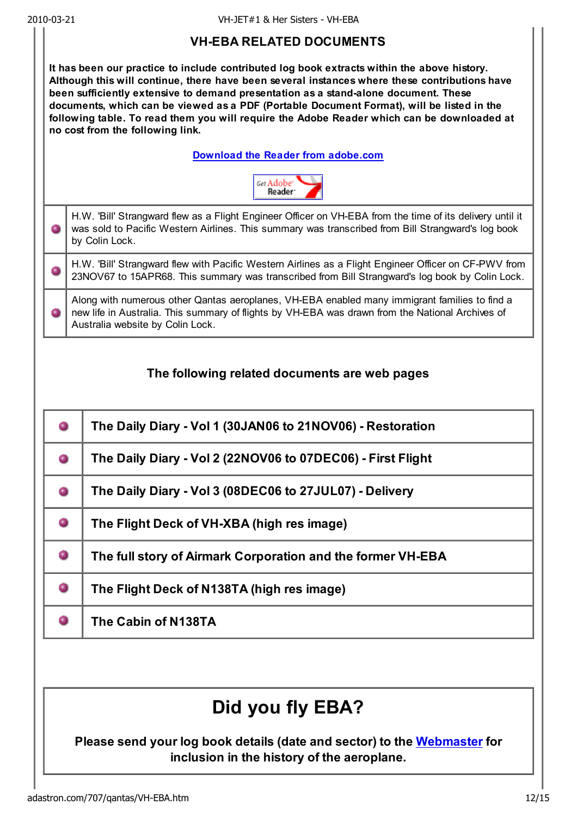### VH-EBA RELATED DOCUMENTS

It has been our practice to include contributed log book extracts within the above history. Although this will continue, there have been several instances where these contributions have been sufficiently extensive to demand presentation as a stand-alone document. These documents, which can be viewed as a PDF (Portable Document Format), will be listed in the following table. To read them you will require the Adobe Reader which can be downloaded at no cost from the following link.

#### Download the Reader from adobe.com



H.W. 'Bill' Strangward flew as a Flight Engineer Officer on VH-EBA from the time of its delivery until it ٥ was sold to Pacific Western Airlines. This summary was transcribed from Bill Strangward's log book by Colin Lock.

H.W. 'Bill' Strangward flew with Pacific Western Airlines as a Flight Engineer Officer on CF-PWV from 0 23NOV67 to 15APR68. This summary was transcribed from Bill Strangward's log book by Colin Lock.

Along with numerous other Qantas aeroplanes, VH-EBA enabled many immigrant families to find a new life in Australia. This summary of flights by VH-EBA was drawn from the National Archives of Australia website by Colin Lock.

### The following related documents are web pages

|   | The Daily Diary - Vol 1 (30JAN06 to 21NOV06) - Restoration  |
|---|-------------------------------------------------------------|
| o | The Daily Diary - Vol 2 (22NOV06 to 07DEC06) - First Flight |
| ۰ | The Daily Diary - Vol 3 (08DEC06 to 27JUL07) - Delivery     |
| 0 | The Flight Deck of VH-XBA (high res image)                  |
| 0 | The full story of Airmark Corporation and the former VH-EBA |
| 0 | The Flight Deck of N138TA (high res image)                  |
|   | The Cabin of N138TA                                         |

# Did you fly EBA?

#### Please send your log book details (date and sector) to the Webmaster for inclusion in the history of the aeroplane.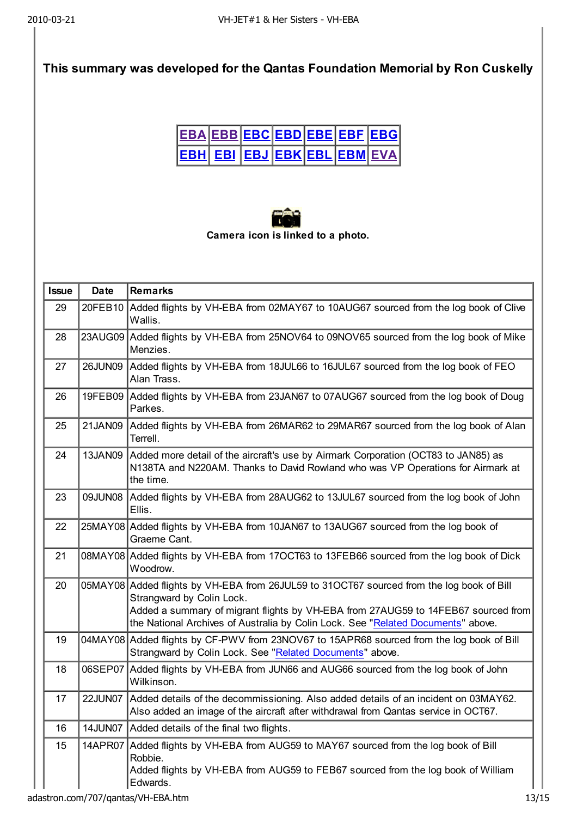### This summary was developed for the Qantas Foundation Memorial by Ron Cuskelly

|  |  |  | <u> EBA EBB EBC EBD EBE EBF EBG </u>      |
|--|--|--|-------------------------------------------|
|  |  |  | <u> EBH  EBI  EBJ  EBK EBL  EBM  EVA </u> |



| <b>Issue</b> | <b>Date</b> | <b>Remarks</b>                                                                                                                                                                                                                                                                                  |
|--------------|-------------|-------------------------------------------------------------------------------------------------------------------------------------------------------------------------------------------------------------------------------------------------------------------------------------------------|
| 29           | 20FEB10     | Added flights by VH-EBA from 02MAY67 to 10AUG67 sourced from the log book of Clive<br>Wallis.                                                                                                                                                                                                   |
| 28           |             | 23AUG09 Added flights by VH-EBA from 25NOV64 to 09NOV65 sourced from the log book of Mike<br>Menzies.                                                                                                                                                                                           |
| 27           | 26JUN09     | Added flights by VH-EBA from 18JUL66 to 16JUL67 sourced from the log book of FEO<br>Alan Trass.                                                                                                                                                                                                 |
| 26           |             | 19FEB09 Added flights by VH-EBA from 23JAN67 to 07AUG67 sourced from the log book of Doug<br>Parkes.                                                                                                                                                                                            |
| 25           | 21JAN09     | Added flights by VH-EBA from 26MAR62 to 29MAR67 sourced from the log book of Alan<br>Terrell.                                                                                                                                                                                                   |
| 24           | 13JAN09     | Added more detail of the aircraft's use by Airmark Corporation (OCT83 to JAN85) as<br>N138TA and N220AM. Thanks to David Rowland who was VP Operations for Airmark at<br>the time.                                                                                                              |
| 23           | 09JUN08     | Added flights by VH-EBA from 28AUG62 to 13JUL67 sourced from the log book of John<br>Ellis.                                                                                                                                                                                                     |
| 22           |             | 25MAY08 Added flights by VH-EBA from 10JAN67 to 13AUG67 sourced from the log book of<br>Graeme Cant.                                                                                                                                                                                            |
| 21           |             | 08MAY08 Added flights by VH-EBA from 17OCT63 to 13FEB66 sourced from the log book of Dick<br>Woodrow.                                                                                                                                                                                           |
| 20           |             | 05MAY08 Added flights by VH-EBA from 26JUL59 to 31OCT67 sourced from the log book of Bill<br>Strangward by Colin Lock.<br>Added a summary of migrant flights by VH-EBA from 27AUG59 to 14FEB67 sourced from<br>the National Archives of Australia by Colin Lock. See "Related Documents" above. |
| 19           |             | 04MAY08 Added flights by CF-PWV from 23NOV67 to 15APR68 sourced from the log book of Bill<br>Strangward by Colin Lock. See "Related Documents" above.                                                                                                                                           |
| 18           |             | 06SEP07 Added flights by VH-EBA from JUN66 and AUG66 sourced from the log book of John<br>Wilkinson.                                                                                                                                                                                            |
| 17           | 22JUN07     | Added details of the decommissioning. Also added details of an incident on 03MAY62.<br>Also added an image of the aircraft after withdrawal from Qantas service in OCT67.                                                                                                                       |
| 16           |             | 14JUN07 Added details of the final two flights.                                                                                                                                                                                                                                                 |
| 15           | 14APR07     | Added flights by VH-EBA from AUG59 to MAY67 sourced from the log book of Bill<br>Robbie.<br>Added flights by VH-EBA from AUG59 to FEB67 sourced from the log book of William<br>Edwards.                                                                                                        |

adastron.com/707/qantas/VH-EBA.htm 13/15